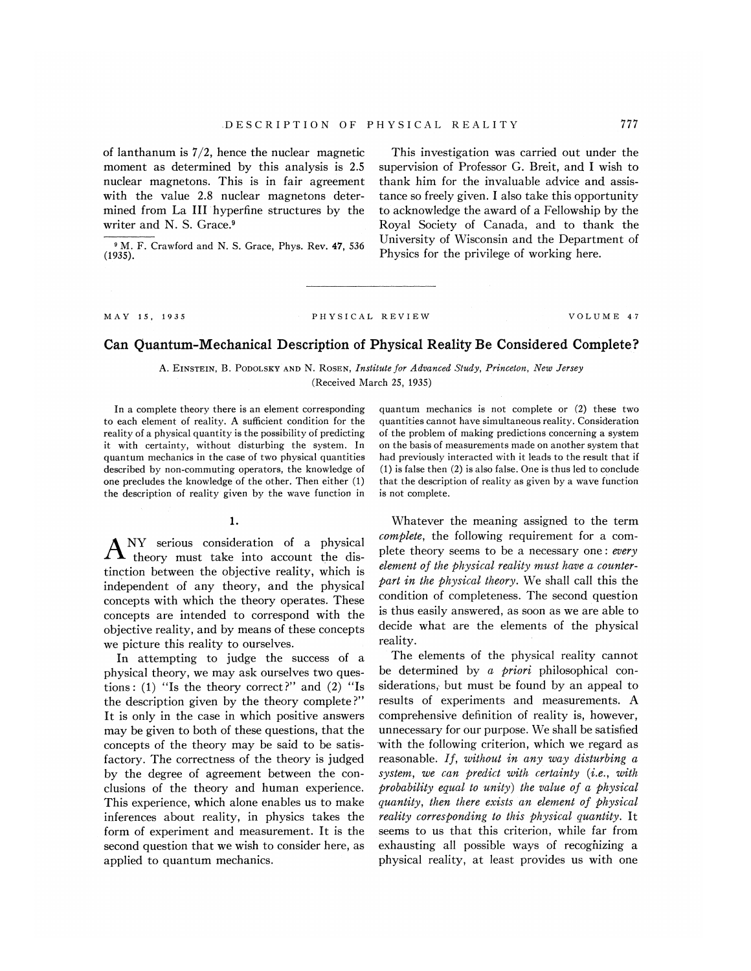of lanthanum is 7/2, hence the nuclear magnetic moment as determined by this analysis is 2.5 nuclear magnetons. This is in fair agreement with the value 2.8 nuclear magnetons determined, from La III hyperfine structures by the writer and N. S. Grace.<sup>9</sup>

 $\overline{M}$ . F. Crawford and N. S. Grace, Phys. Rev. 47, 536  $(1935).$ 

This investigation was carried out under the supervision of Professor G. Breit, and I wish to thank him for the invaluable advice and assistance so freely given. I also take this opportunity to acknowledge the award of a Fellowship by the Royal Society of Canada, and to thank the University of Wisconsin and the Department of Physics for the privilege of working here.

MAY 15, 1935 PHYSICAL REVIEW VOLUME 47

## Can Quantum-Mechanical Description of Physical Reality Be Considered Complete' ?

A. EINSTEIN, B. PODOLSKY AND N. ROSEN, Institute for Advanced Study, Princeton, New Jersey (Received March 25, 1935)

In a complete theory there is an element corresponding to each element of reality. A sufficient condition for the reality of a physical quantity is the possibility of predicting it with certainty, without disturbing the system. In quantum mechanics in the case of two physical quantities described by non-commuting operators, the knowledge of one precludes the knowledge of the other. Then either (1) the description of reality given by the wave function in

## 1.

A NY serious consideration of a physical theory must take into account the distinction between the objective reality, which is independent of any theory, and the physical concepts with which the theory operates. These concepts are intended to correspond with the objective reality, and by means of these concepts we picture this reality to ourselves.

In attempting to judge the success of a physical theory, we may ask ourselves two questions: (1) "Is the theory correct?" and (2) "Is the description given by the theory complete?" It is only in the case in which positive answers may be given to both of these questions, that the concepts of the theory may be said to be satisfactory. The correctness of the theory is judged by the degree of agreement between the conclusions of the theory and human experience. This experience, which alone enables us to make inferences about reality, in physics takes the form of experiment and measurement. It is the second question that we wish to consider here, as applied to quantum mechanics.

quantum mechanics is not complete or (2) these two quantities cannot have simultaneous reality. Consideration of the problem of making predictions concerning a system on the basis of measurements made on another system that had previously interacted with it leads to the result that if (1) is false then (2) is also false. One is thus led to conclude that the description of reality as given by a wave function is not complete.

Whatever the meaning assigned to the term  $complete$ , the following requirement for a complete theory seems to be a necessary one: every element of the physical reality must have a counter part in the physical theory. We shall call this the condition of completeness. The second question is thus easily answered, as soon as we are able to decide what are the elements of the physical reality.

The elements of the physical reality cannot be determined by a *priori* philosophical considerations, but must be found by an appeal to results of experiments and measurements. A comprehensive definition of reality is, however, unnecessary for our purpose. We shall be satisfied with the following criterion, which we regard as reasonable. If, without in any way disturbing a system, we can predict with certainty (i.e., with probability equal to unity) the value of a physical quantity, then there exists an element of physical reality corresponding to this physical quantity. It seems to us that this criterion, while far from exhausting all possible ways of recognizing a physical reality, at least provides us with one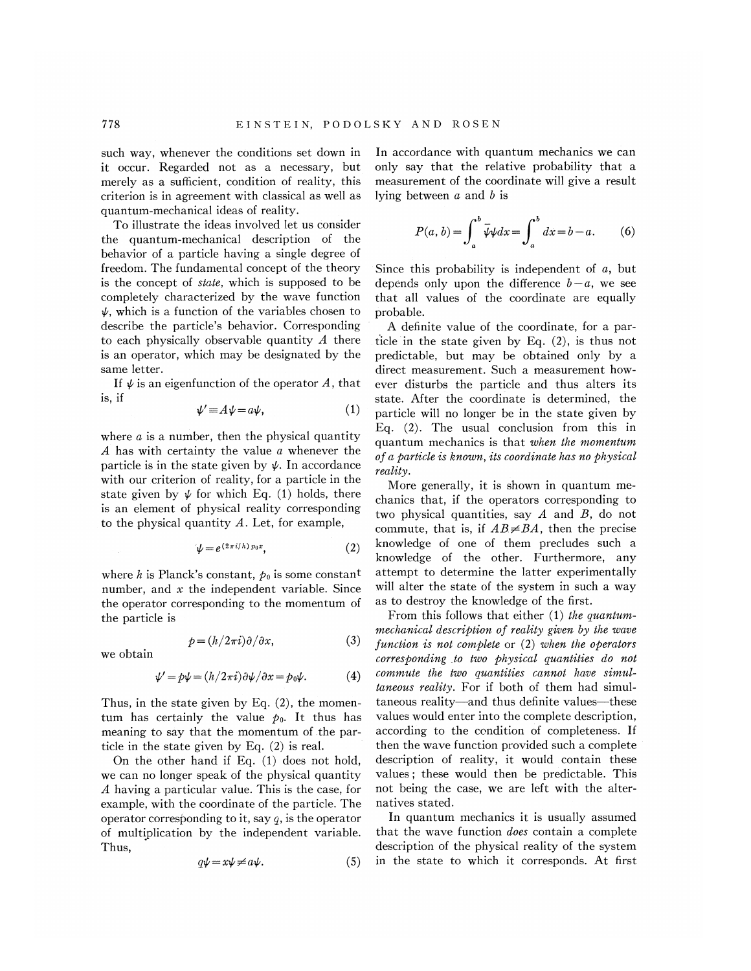such way, whenever the conditions set down in it occur. Regarded not as a necessary, but merely as a sufficient, condition of reality, this criterion is in agreement with classical as well as quantum-mechanical ideas of reality.

To illustrate the ideas involved let us consider the quantum-mechanical description of the behavior of a particle having a single degree of freedom. The fundamental concept of the theory is the concept of state, which is supposed to be completely characterized by the wave function  $\psi$ , which is a function of the variables chosen to describe the particle's behavior. Corresponding to each physically observable quantity  $A$  there is an operator, which may be designated by the same letter.

If  $\psi$  is an eigenfunction of the operator A, that is, if

$$
\psi' \equiv A\psi = a\psi,\tag{1}
$$

where  $\alpha$  is a number, then the physical quantity A has with certainty the value a whenever the particle is in the state given by  $\psi$ . In accordance with our criterion of reality, for a particle in the state given by  $\psi$  for which Eq. (1) holds, there is an element of physical reality corresponding to the physical quantity  $A$ . Let, for example,

$$
\psi = e^{(2\pi i/h) p_0 x}, \qquad (2)
$$

where h is Planck's constant,  $p_0$  is some constant number, and  $x$  the independent variable. Since the operator corresponding to the momentum of the particle is

$$
p = (h/2\pi i)\partial/\partial x,\tag{3}
$$

we obtain

$$
\psi' = p\psi = (h/2\pi i)\partial\psi/\partial x = p_0\psi.
$$
 (4)

Thus, in the state given by Eq. (2), the momentum has certainly the value  $p_0$ . It thus has meaning to say that the momentum of the particle in the state given by Eq. (2) is real.

On the other hand if Eq. (1) does not hold, we can no longer speak of the physical quantity A having a particular value. This is the case, for example, with the coordinate of the particle. The operator corresponding to it, say  $q$ , is the operator of multiplication by the independent variable. Thus,

$$
q\psi = x\psi \neq a\psi. \tag{5}
$$

In accordance with quantum mechanics we can only say that the relative probability that a measurement of the coordinate will give a result lying between  $a$  and  $b$  is

$$
P(a, b) = \int_{a}^{b} \bar{\psi} \psi dx = \int_{a}^{b} dx = b - a.
$$
 (6)

Since this probability is independent of  $a$ , but depends only upon the difference  $b-a$ , we see that all values of the coordinate are equally probable.

A definite value of the coordinate, for a particle in the state given by Eq. (2), is thus not predictable, but may be obtained only by a direct measurement. Such a measurement however disturbs the particle and thus alters its state. After the coordinate is determined, the particle will no longer be in the state given by Eq. (2). The usual conclusion from this in quantum mechanics is that when the momentum of a particle is known, its coordinate has no physical reality.

More generally, it is shown in quantum mechanics that, if the operators corresponding to two physical quantities, say  $A$  and  $B$ , do not commute, that is, if  $AB \neq BA$ , then the precise knowledge of one of them precludes such a knowledge of the other. Furthermore, any attempt to determine the latter experimentally will alter the state of the system in such a way as to destroy the knowledge of the first.

From this follows that either  $(1)$  the quantummechanical description of reality given by the wave function is not complete or  $(2)$  when the operators corresponding to two physical quantities do not commute the two quantities cannot have simultaneous reality. For if both of them had simultaneous reality—and thus definite values—these values would enter into the complete description, according to the condition of completeness. If then the wave function provided such a complete description of reality, it would contain these values; these would then be predictable. This not being the case, we are left with the alternatives stated.

In quantum mechanics it is usually assumed that the wave function does contain a complete description of the physical reality of the system in the state to which it corresponds. At first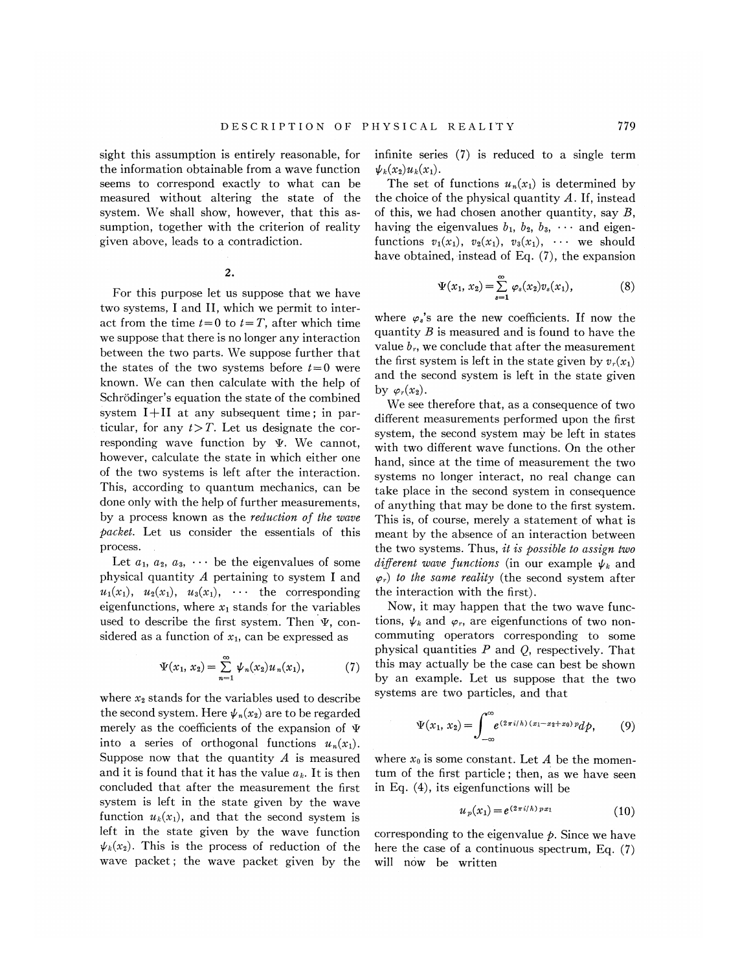sight this assumption is entirely reasonable, for the information obtainable from a wave function seems to correspond exactly to what can be measured without altering the state of the system. We shall show, however, that this assumption, together with the criterion of reality given above, leads to a contradiction.

For this purpose let us suppose that we have two systems, I and II, which we permit to interact from the time  $t = 0$  to  $t = T$ , after which time we suppose that there is no longer any interaction between the two parts. We suppose further that the states of the two systems before  $t=0$  were known. We can then calculate with the help of Schrödinger's equation the state of the combined system I+II at any subsequent time; in particular, for any  $t > T$ . Let us designate the corresponding wave function by  $\Psi$ . We cannot, however, calculate the state in which either one of the two systems is left after the interaction. This, according to quantum mechanics, can be done only with the help of further measurements, by a process known as the reduction of the wave packet. Let us consider the essentials of this process.

Let  $a_1, a_2, a_3, \cdots$  be the eigenvalues of some physical quantity  $A$  pertaining to system I and  $u_1(x_1), u_2(x_1), u_3(x_1), \cdots$  the corresponding eigenfunctions, where  $x_1$  stands for the variables used to describe the first system. Then  $\Psi$ , considered as a function of  $x_1$ , can be expressed as

$$
\Psi(x_1, x_2) = \sum_{n=1}^{\infty} \psi_n(x_2) u_n(x_1), \tag{7}
$$

where  $x_2$  stands for the variables used to describe the second system. Here  $\psi_n(x_2)$  are to be regarded merely as the coefficients of the expansion of  $\Psi$ into a series of orthogonal functions  $u_n(x_1)$ . Suppose now that the quantity  $A$  is measured and it is found that it has the value  $a_k$ . It is then concluded that after the measurement the first system is left in the state given by the wave function  $u_k(x_1)$ , and that the second system is left in the state given by the wave function  $\psi_k(x_2)$ . This is the process of reduction of the wave packet; the wave packet given by the infinite series (7) is reduced to a single term  $\psi_k(x_2)u_k(x_1).$ 

The set of functions  $u_n(x_1)$  is determined by the choice of the physical quantity  $A$ . If, instead of this, we had chosen another quantity, say  $B$ , having the eigenvalues  $b_1$ ,  $b_2$ ,  $b_3$ ,  $\cdots$  and eigenfunctions  $v_1(x_1)$ ,  $v_2(x_1)$ ,  $v_3(x_1)$ ,  $\cdots$  we should have obtained, instead of Eq. (7), the expansion

$$
\Psi(x_1, x_2) = \sum_{s=1}^{\infty} \varphi_s(x_2) v_s(x_1), \tag{8}
$$

where  $\varphi_s$ 's are the new coefficients. If now the quantity  $B$  is measured and is found to have the value  $b_r$ , we conclude that after the measurement the first system is left in the state given by  $v_r(x_1)$ and the second system is left in the state given by  $\varphi_r(x_2)$ .

We see therefore that, as a consequence of two different measurements performed upon the first system, the second system may be left in states with two different wave functions. On the other hand, since at the time of measurement the two systems no longer interact, no real change can take place in the second system in consequence of anything that may be done to the first system. This is, of course, merely a statement of what is meant by the absence of an interaction between the two systems. Thus, it is possible to assign two different wave functions (in our example  $\psi_k$  and  $\varphi_r$ ) to the same reality (the second system after the interaction with the first).

Now, it may happen that the two wave functions,  $\psi_k$  and  $\varphi_r$ , are eigenfunctions of two noncommuting operators corresponding to some physical quantities  $P$  and  $Q$ , respectively. That this may actually be the case can best be shown by an example. Let us suppose that the two systems are two particles, and that

$$
\Psi(x_1, x_2) = \int_{-\infty}^{\infty} e^{(2\pi i/h)(x_1 - x_2 + x_0)p} dp, \qquad (9)
$$

where  $x_0$  is some constant. Let A be the momentum of the first particle; then, as we have seen in Eq. (4), its eigenfunctions will be

$$
u_p(x_1) = e^{(2\pi i/h) p x_1} \tag{10}
$$

corresponding to the eigenvalue  $\phi$ . Since we have here the case of a continuous spectrum, Eq. (7) will now be written

<sup>2.</sup>